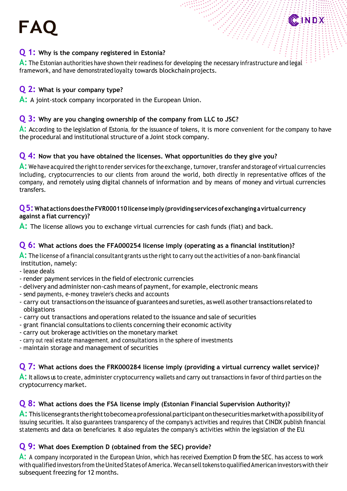# **Q 1: Why is the company registered in Estonia?**

A: The Estonian authorities have shown their readiness for developing the necessary infrastructure and legal  $\cdot$ framework, and have demonstrated loyalty towards blockchain projects.

**INDX** 

# **Q 2: What is your company type?**

**A:** A joint-stock company incorporated in the European Union.

# **Q 3: Why are you changing ownership of the company from LLC to JSC?**

**A:** According to the legislation of Estonia, for the issuance of tokens, it is more convenient for the company to have the procedural and institutional structure of a Joint stock company.

#### **Q 4: Now that you have obtained the licenses. What opportunities do they give you?**

**A:** We have acquired the right to render services for the exchange, turnover, transfer and storage of virtual currencies including, cryptocurrencies to our clients from around the world, both directly in representative offices of the company, and remotely using digital channels of information and by means of money and virtual currencies transfers.

#### **Q5: Whatactionsdoes theFVR000110licenseimply (providing servicesofexchanging a virtualcurrency against a fiat currency)?**

**A:** The license allows you to exchange virtual currencies for cash funds (fiat) and back.

# **Q 6: What actions does the FFA000254 license imply (operating as a financial institution)?**

**A:** The license of a financial consultant grants us the right to carry out the activities of a non-bank financial institution, namely:

- lease deals
- render payment services in the field of electronic currencies
- delivery and administer non-cash means of payment, for example, electronic means
- send payments, e-money, traveler's checks and accounts
- carry out transactions on the issuance of guarantees and sureties, as well as other transactions related to obligations
- carry out transactions and operations related to the issuance and sale of securities
- grant financial consultations to clients concerning their economic activity
- carry out brokerage activities on the monetary market
- carry out real estate management, and consultations in the sphere of investments
- maintain storage and management of securities

# **Q 7: What actions does the FRK000284 license imply (providing a virtual currency wallet service)?**

**A:** It allows us to create, administer cryptocurrency wallets and carry out transactions in favor of third parties on the cryptocurrency market.

# **Q 8: What actions does the FSA license imply (Estonian Financial Supervision Authority)?**

**A:** This licensegrants therighttobecomeaprofessionalparticipantonthesecuritiesmarketwithapossibilityof issuing securities. It also guarantees transparency of the company's activities and requires that CINDX publish financial statements and data on beneficiaries. It also regulates the company's activities within the legislation of the EU.

# **Q 9: What does Exemption D (obtained from the SEC) provide?**

**A:** A company incorporated in the European Union, which has received Exemption D from the SEC, has access to work with qualified investors from the United States of America. We can sell tokens to qualified American investors with their subsequent freezing for 12 months.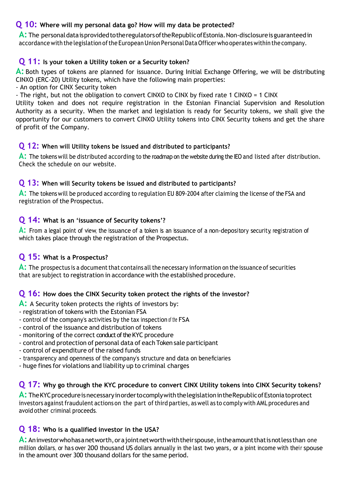# **Q 10: Where will my personal data go? How will my data be protected?**

A: The personal data is provided to the regulators of the Republic of Estonia. Non-disclosure is guaranteed in accordance with the legislation of the European Union Personal Data Officer who operates within the company.

# **Q 11: Is your token a Utility token or a Security token?**

**A:** Both types of tokens are planned for issuance. During Initial Exchange Offering, we will be distributing CINXO (ERC-20) Utility tokens, which have the following main properties:

- An option for CINX Security token

- The right, but not the obligation to convert CINXO to CINX by fixed rate 1 CINXO = 1 CINX

Utility token and does not require registration in the Estonian Financial Supervision and Resolution Authority as a security. When the market and legislation is ready for Security tokens, we shall give the opportunity for our customers to convert CINXO Utility tokens into CINX Security tokens and get the share of profit of the Company.

# **Q 12: When will Utility tokens be issued and distributed to participants?**

**A:** The tokenswill be distributed according to the roadmap on the website during the IEO and listed after distribution. Check the schedule on our website.

#### **Q 13: When will Security tokens be issued and distributed to participants?**

**A:** The tokenswill be produced according to regulation EU 809-2004 after claiming the license of the FSA and registration of the Prospectus.

# **Q 14: What is an 'issuance of Security tokens'?**

A: From a legal point of view, the issuance of a token is an issuance of a non-depository security, registration of which takes place through the registration of the Prospectus.

# **Q 15: What is a Prospectus?**

**A:** The prospectus is a document that contains all the necessary information on the issuance of securities that are subject to registration in accordance with the established procedure.

# **Q 16: How does the CINX Security token protect the rights of the investor?**

- **A:** A Security token protects the rights of investors by:
- registration of tokens with the Estonian FSA
- control of the company's activities by the tax inspection of the FSA
- control of the issuance and distribution of tokens
- monitoring of the correct conduct of the KYC procedure
- control and protection of personal data of each Token sale participant
- control of expenditure of the raised funds
- transparency and openness of the company's structure and data on beneficiaries
- huge fines for violations and liability up to criminal charges

# **Q 17: Why go through the KYC procedure to convert CINX Utility tokens into CINX Security tokens?**

**A:** The KYC procedure is necessary in order to comply with the legislation in the Republic of Estonia to protect investors against fraudulent actions on the part of third parties, as well as to comply with AML procedures and avoid other criminal proceeds.

# **Q 18: Who is a qualified investor in the USA?**

**A:** Aninvestor who has a networth, or a joint net worth with their spouse, in the amount that is not less than one million dollars, or has over 200 thousand US dollars annually in the last two years, or a joint income with their spouse in the amount over 300 thousand dollars for the same period.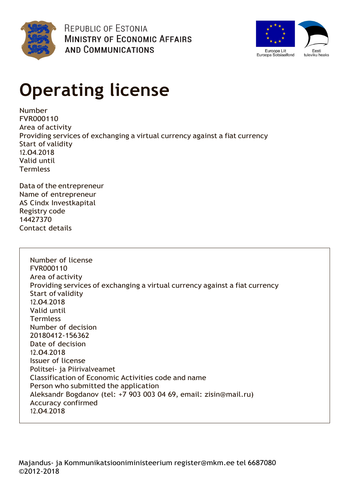

REPUBLIC OF ESTONIA **MINISTRY OF ECONOMIC AFFAIRS AND COMMUNICATIONS** 



# **Operating license**

Number FVR000110 Area of activity Providing services of exchanging a virtual currency against a fiat currency Start of validity 12.04.2018 Valid until **Termless** 

Data of the entrepreneur Name of entrepreneur AS Cindx Investkapital Registry code 14427370 Contact details

> Number of license FVR000110 Area of activity Providing services of exchanging a virtual currency against a fiat currency Start of validity 12.04.2018 Valid until **Termless** Number of decision 20180412-156362 Date of decision 12.04.2018 Issuer of license Politsei- ja Piirivalveamet Classification of Economic Activities code and name Person who submitted the application Aleksandr Bogdanov (tel: +7 903 003 04 69, email: zisin@mail.ru) Accuracy confirmed 12.04.2018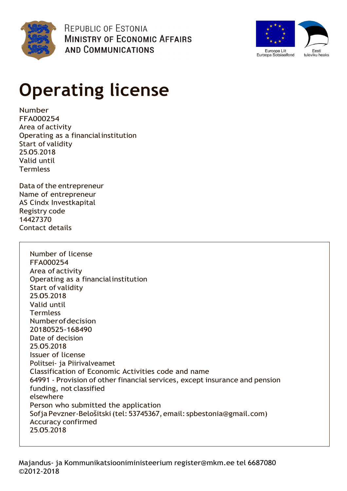

REPUBLIC OF ESTONIA **MINISTRY OF ECONOMIC AFFAIRS AND COMMUNICATIONS** 



# **Operating license**

Number FFA000254 Area of activity Operating as a financialinstitution Start of validity 25.05.2018 Valid until **Termless** 

Data of the entrepreneur Name of entrepreneur AS Cindx Investkapital Registry code 14427370 Contact details

> Number of license FFA000254 Area of activity Operating as a financialinstitution Start of validity 25.05.2018 Valid until **Termless** Numberofdecision 20180525-168490 Date of decision 25.05.2018 Issuer of license Politsei- ja Piirivalveamet Classification of Economic Activities code and name 64991 - Provision of other financial services, except insurance and pension funding, not classified elsewhere Person who submitted the application Sofja Pevzner-Belošitski(tel: 53745367,email: spbestonia@gmail.com) Accuracy confirmed 25.05.2018